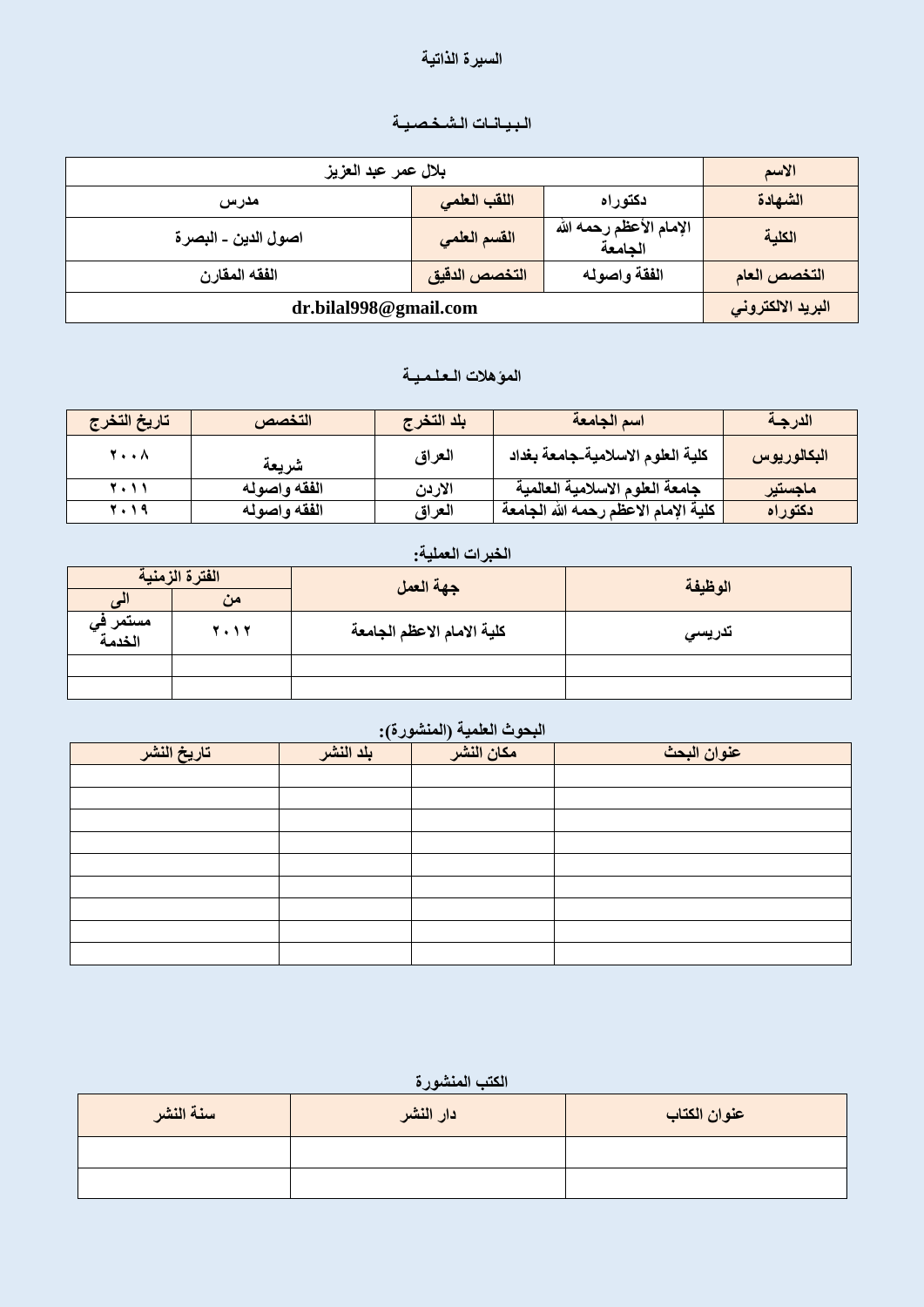#### **انضيزج انذاذيح**

# الـبـيـانــات الـشـخـصـيــة

| بلال عمر عبد العزيز   |               |                                    | الاسم             |
|-----------------------|---------------|------------------------------------|-------------------|
| مدرس                  | اللقب العلمى  | دكتوراه                            | الشهادة           |
| اصول الدين ـ البصرة   | القسم العلمي  | الإمام الأعظم رحمه الله<br>الجامعة | الكلية            |
| الفقه المقارن         | التخصص الدقيق | الفقة واصوله                       | التخصص العام      |
| dr.bilal998@gmail.com |               |                                    | البريد الالكتروني |

## المو*ْهلات الـعلـمـيــة*

| تاريخ التخرج       | التخصص       | بلد التخرج | اسم الجامعة                          | الدرجة      |
|--------------------|--------------|------------|--------------------------------------|-------------|
| <b>Y</b> $\Lambda$ | شر يعة       | العراق     | كلية العلوم الاسلامية جامعة بغداد    | البكالوريوس |
| 5.11               | الفقه واصوله | الاردن     | جامعة العلوم الاسلامية العالمية      | ماجستير     |
| 7.19               | الفقه واصوله | العراق     | كلية الإمام الاعظم رحمه الله الجامعة | ادكتوراه    |

### الخبرات الع*م*لية:

| الفترة الزمنية             |      | جهة العمل                  | الوظيفة |
|----------------------------|------|----------------------------|---------|
|                            | من   |                            |         |
| مستمر ف <i>ي</i><br>الخدمة | 2012 | كلية الامام الاعظم الجامعة | تدريسي  |
|                            |      |                            |         |
|                            |      |                            |         |

#### البحوث العلمية (المنشورة):

| تاريخ النشر | $\sim$<br>بلد النشر | مكان النشر | عنوان البحث |
|-------------|---------------------|------------|-------------|
|             |                     |            |             |
|             |                     |            |             |
|             |                     |            |             |
|             |                     |            |             |
|             |                     |            |             |
|             |                     |            |             |
|             |                     |            |             |
|             |                     |            |             |
|             |                     |            |             |

## الكتب المنشور ة

| سنة النشر | دار النشر | عنوان الكتاب |
|-----------|-----------|--------------|
|           |           |              |
|           |           |              |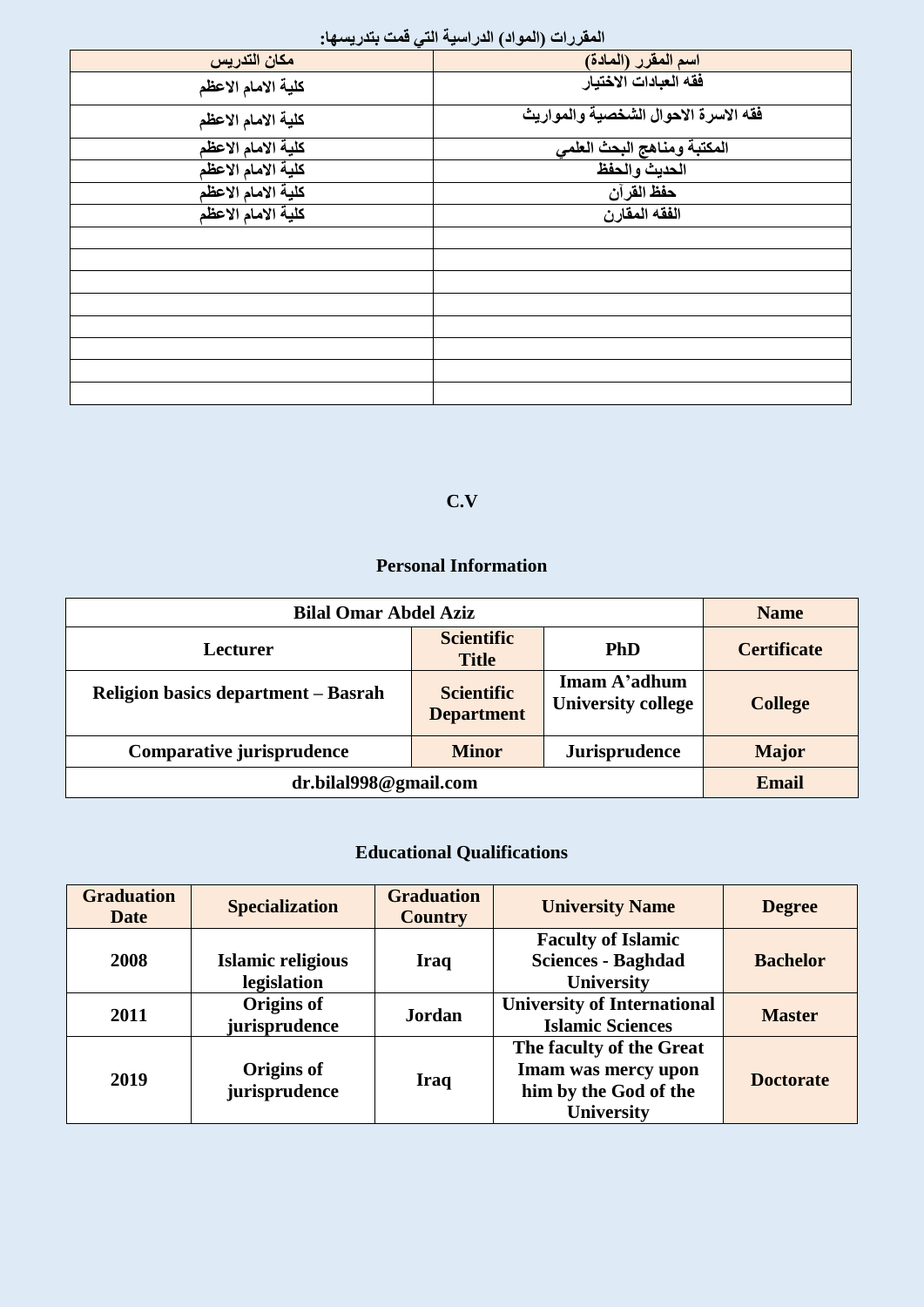| المعروبة المرياني الدرامية التي عبد بسويريسي. |                                      |  |  |  |
|-----------------------------------------------|--------------------------------------|--|--|--|
| مكان التدريس                                  | اسم المقرر (المادة)                  |  |  |  |
| كلية الامام الاعظم                            | فقه العبادات الاختيار                |  |  |  |
| كلية الامام الاعظم                            | فقه الاسرة الاحوال الشخصية والمواريث |  |  |  |
| كلية الامام الاعظم                            | المكتبة ومناهج البحث العلمي          |  |  |  |
| كلية الامام الاعظم                            | الحديث والحفظ                        |  |  |  |
| كلية الامام الاعظم                            | حفظ القرآن                           |  |  |  |
| كلية الامام الاعظم                            | الفقه المقارن                        |  |  |  |
|                                               |                                      |  |  |  |
|                                               |                                      |  |  |  |
|                                               |                                      |  |  |  |
|                                               |                                      |  |  |  |
|                                               |                                      |  |  |  |
|                                               |                                      |  |  |  |
|                                               |                                      |  |  |  |
|                                               |                                      |  |  |  |

#### المقررات (المواد*)* الدراسية التي قمت بتدريسها·

#### **C.V**

### **Personal Information**

| <b>Bilal Omar Abdel Aziz</b>                                      |                                        |                                           | <b>Name</b>        |
|-------------------------------------------------------------------|----------------------------------------|-------------------------------------------|--------------------|
| Lecturer                                                          | <b>Scientific</b><br><b>Title</b>      | <b>PhD</b>                                | <b>Certificate</b> |
| <b>Religion basics department – Basrah</b>                        | <b>Scientific</b><br><b>Department</b> | Imam A'adhum<br><b>University college</b> | <b>College</b>     |
| Comparative jurisprudence<br><b>Jurisprudence</b><br><b>Minor</b> |                                        | <b>Major</b>                              |                    |
| dr.bilal998@gmail.com                                             |                                        |                                           | Email              |

# **Educational Qualifications**

| <b>Graduation</b><br><b>Date</b> | <b>Specialization</b>                   | <b>Graduation</b><br><b>Country</b> | <b>University Name</b>                                                                        | <b>Degree</b>    |
|----------------------------------|-----------------------------------------|-------------------------------------|-----------------------------------------------------------------------------------------------|------------------|
| 2008                             | <b>Islamic religious</b><br>legislation | <b>Iraq</b>                         | <b>Faculty of Islamic</b><br><b>Sciences - Baghdad</b><br><b>University</b>                   | <b>Bachelor</b>  |
| 2011                             | Origins of<br>jurisprudence             | <b>Jordan</b>                       | <b>University of International</b><br><b>Islamic Sciences</b>                                 | <b>Master</b>    |
| 2019                             | Origins of<br>jurisprudence             | Iraq                                | The faculty of the Great<br>Imam was mercy upon<br>him by the God of the<br><b>University</b> | <b>Doctorate</b> |